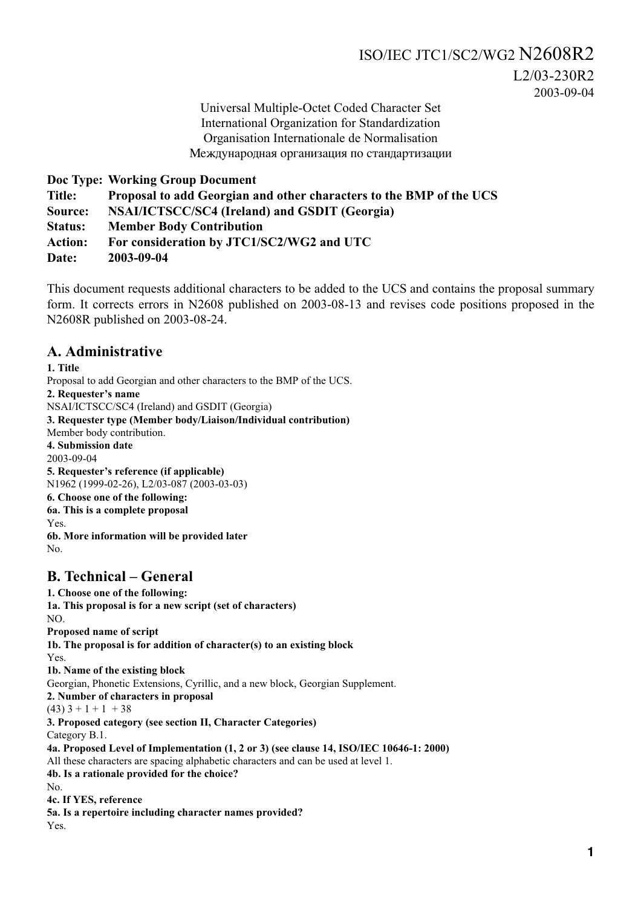# ISO/IEC JTC1/SC2/WG2 N2608R2

L2/03-230R2 2003-09-04

Universal Multiple-Octet Coded Character Set International Organization for Standardization Organisation Internationale de Normalisation Международная организация по стандартизации

**Doc Type: Working Group Document**

**Title: Proposal to add Georgian and other characters to the BMP of the UCS**

**Source: NSAI/ICTSCC/SC4 (Ireland) and GSDIT (Georgia)**

**Status: Member Body Contribution**

**Action: For consideration by JTC1/SC2/WG2 and UTC**

**Date: 2003-09-04**

This document requests additional characters to be added to the UCS and contains the proposal summary form. It corrects errors in N2608 published on 2003-08-13 and revises code positions proposed in the N2608R published on 2003-08-24.

#### **A. Administrative**

**1. Title** Proposal to add Georgian and other characters to the BMP of the UCS. **2. Requester's name** NSAI/ICTSCC/SC4 (Ireland) and GSDIT (Georgia) **3. Requester type (Member body/Liaison/Individual contribution)** Member body contribution. **4. Submission date** 2003-09-04 **5. Requester's reference (if applicable)** N1962 (1999-02-26), L2/03-087 (2003-03-03) **6. Choose one of the following: 6a. This is a complete proposal** Yes. **6b. More information will be provided later** No.

## **B. Technical – General**

**1. Choose one of the following: 1a. This proposal is for a new script (set of characters)** NO. **Proposed name of script 1b. The proposal is for addition of character(s) to an existing block** Yes. **1b. Name of the existing block** Georgian, Phonetic Extensions, Cyrillic, and a new block, Georgian Supplement. **2. Number of characters in proposal**  $(43)$  3 + 1 + 1 + 38 **3. Proposed category (see section II, Character Categories)** Category B.1. **4a. Proposed Level of Implementation (1, 2 or 3) (see clause 14, ISO/IEC 10646-1: 2000)** All these characters are spacing alphabetic characters and can be used at level 1. **4b. Is a rationale provided for the choice?** No. **4c. If YES, reference 5a. Is a repertoire including character names provided?** Yes.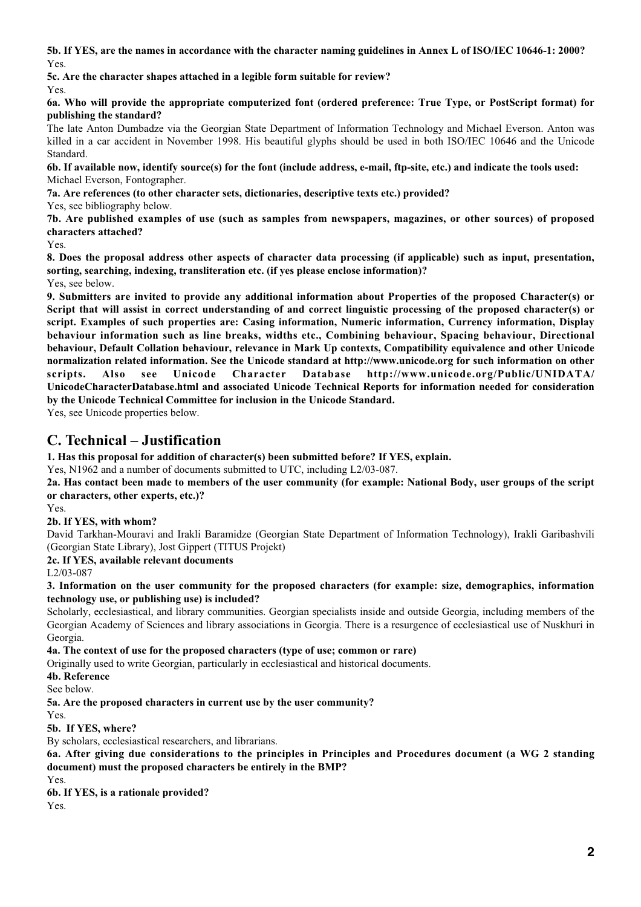**5b. If YES, are the names in accordance with the character naming guidelines in Annex L of ISO/IEC 10646-1: 2000?** Yes.

**5c. Are the character shapes attached in a legible form suitable for review?** Yes.

**6a. Who will provide the appropriate computerized font (ordered preference: True Type, or PostScript format) for publishing the standard?**

The late Anton Dumbadze via the Georgian State Department of Information Technology and Michael Everson. Anton was killed in a car accident in November 1998. His beautiful glyphs should be used in both ISO/IEC 10646 and the Unicode Standard.

**6b. If available now, identify source(s) for the font (include address, e-mail, ftp-site, etc.) and indicate the tools used:** Michael Everson, Fontographer.

**7a. Are references (to other character sets, dictionaries, descriptive texts etc.) provided?**

Yes, see bibliography below.

**7b. Are published examples of use (such as samples from newspapers, magazines, or other sources) of proposed characters attached?**

Yes.

**8. Does the proposal address other aspects of character data processing (if applicable) such as input, presentation, sorting, searching, indexing, transliteration etc. (if yes please enclose information)?** Yes, see below.

**9. Submitters are invited to provide any additional information about Properties of the proposed Character(s) or Script that will assist in correct understanding of and correct linguistic processing of the proposed character(s) or script. Examples of such properties are: Casing information, Numeric information, Currency information, Display behaviour information such as line breaks, widths etc., Combining behaviour, Spacing behaviour, Directional behaviour, Default Collation behaviour, relevance in Mark Up contexts, Compatibility equivalence and other Unicode normalization related information. See the Unicode standard at http://www.unicode.org for such information on other scripts. Also see Unicode Character Database http://www.unicode.org/Public/UNIDATA/ UnicodeCharacterDatabase.html and associated Unicode Technical Reports for information needed for consideration by the Unicode Technical Committee for inclusion in the Unicode Standard.**

Yes, see Unicode properties below.

## **C. Technical – Justification**

**1. Has this proposal for addition of character(s) been submitted before? If YES, explain.**

Yes, N1962 and a number of documents submitted to UTC, including L2/03-087.

**2a. Has contact been made to members of the user community (for example: National Body, user groups of the script or characters, other experts, etc.)?**

Yes.

#### **2b. If YES, with whom?**

David Tarkhan-Mouravi and Irakli Baramidze (Georgian State Department of Information Technology), Irakli Garibashvili (Georgian State Library), Jost Gippert (TITUS Projekt)

**2c. If YES, available relevant documents**

L2/03-087

**3. Information on the user community for the proposed characters (for example: size, demographics, information technology use, or publishing use) is included?**

Scholarly, ecclesiastical, and library communities. Georgian specialists inside and outside Georgia, including members of the Georgian Academy of Sciences and library associations in Georgia. There is a resurgence of ecclesiastical use of Nuskhuri in Georgia.

**4a. The context of use for the proposed characters (type of use; common or rare)**

Originally used to write Georgian, particularly in ecclesiastical and historical documents.

**4b. Reference**

See below.

**5a. Are the proposed characters in current use by the user community?**

Yes.

**5b. If YES, where?**

By scholars, ecclesiastical researchers, and librarians.

**6a. After giving due considerations to the principles in Principles and Procedures document (a WG 2 standing document) must the proposed characters be entirely in the BMP?**

Yes.

**6b. If YES, is a rationale provided?**

Yes.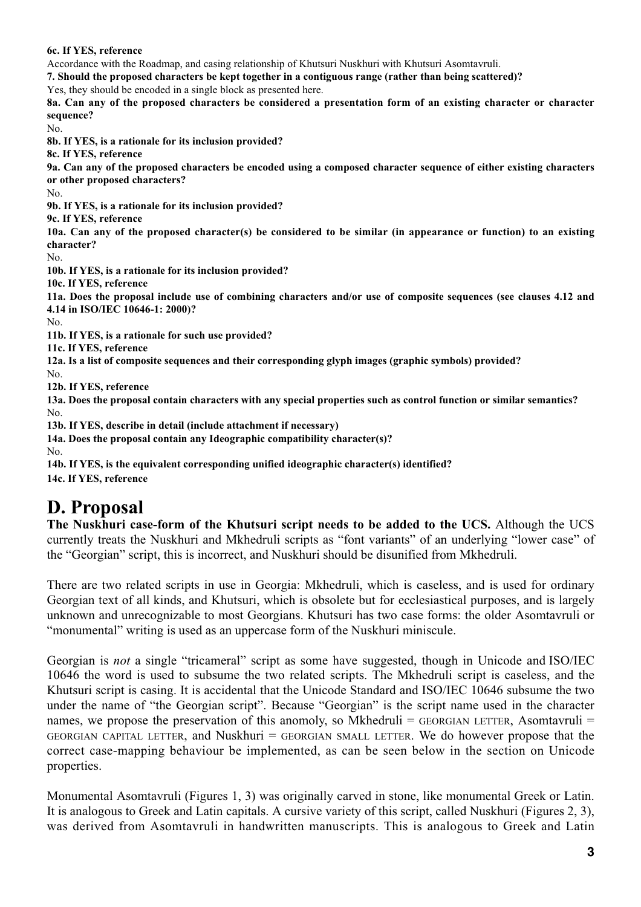#### **6c. If YES, reference**

Accordance with the Roadmap, and casing relationship of Khutsuri Nuskhuri with Khutsuri Asomtavruli.

**7. Should the proposed characters be kept together in a contiguous range (rather than being scattered)?**

Yes, they should be encoded in a single block as presented here.

**8a. Can any of the proposed characters be considered a presentation form of an existing character or character sequence?**

No.

**8b. If YES, is a rationale for its inclusion provided?**

**8c. If YES, reference**

**9a. Can any of the proposed characters be encoded using a composed character sequence of either existing characters or other proposed characters?**

No.

**9b. If YES, is a rationale for its inclusion provided?**

**9c. If YES, reference**

**10a. Can any of the proposed character(s) be considered to be similar (in appearance or function) to an existing character?**

No.

**10b. If YES, is a rationale for its inclusion provided?**

**10c. If YES, reference**

**11a. Does the proposal include use of combining characters and/or use of composite sequences (see clauses 4.12 and 4.14 in ISO/IEC 10646-1: 2000)?**

No.

**11b. If YES, is a rationale for such use provided?**

**11c. If YES, reference**

**12a. Is a list of composite sequences and their corresponding glyph images (graphic symbols) provided?**

No.

**12b. If YES, reference**

**13a. Does the proposal contain characters with any special properties such as control function or similar semantics?** No.

**13b. If YES, describe in detail (include attachment if necessary)**

**14a. Does the proposal contain any Ideographic compatibility character(s)?** No.

**14b. If YES, is the equivalent corresponding unified ideographic character(s) identified?**

**14c. If YES, reference**

## **D. Proposal**

**The Nuskhuri case-form of the Khutsuri script needs to be added to the UCS.** Although the UCS currently treats the Nuskhuri and Mkhedruli scripts as "font variants" of an underlying "lower case" of the "Georgian" script, this is incorrect, and Nuskhuri should be disunified from Mkhedruli.

There are two related scripts in use in Georgia: Mkhedruli, which is caseless, and is used for ordinary Georgian text of all kinds, and Khutsuri, which is obsolete but for ecclesiastical purposes, and is largely unknown and unrecognizable to most Georgians. Khutsuri has two case forms: the older Asomtavruli or "monumental" writing is used as an uppercase form of the Nuskhuri miniscule.

Georgian is *not* a single "tricameral" script as some have suggested, though in Unicode and ISO/IEC 10646 the word is used to subsume the two related scripts. The Mkhedruli script is caseless, and the Khutsuri script is casing. It is accidental that the Unicode Standard and ISO/IEC 10646 subsume the two under the name of "the Georgian script". Because "Georgian" is the script name used in the character names, we propose the preservation of this anomoly, so Mkhedruli = GEORGIAN LETTER, Asomtavruli = GEORGIAN CAPITAL LETTER, and Nuskhuri = GEORGIAN SMALL LETTER. We do however propose that the correct case-mapping behaviour be implemented, as can be seen below in the section on Unicode properties.

Monumental Asomtavruli (Figures 1, 3) was originally carved in stone, like monumental Greek or Latin. It is analogous to Greek and Latin capitals. A cursive variety of this script, called Nuskhuri (Figures 2, 3), was derived from Asomtavruli in handwritten manuscripts. This is analogous to Greek and Latin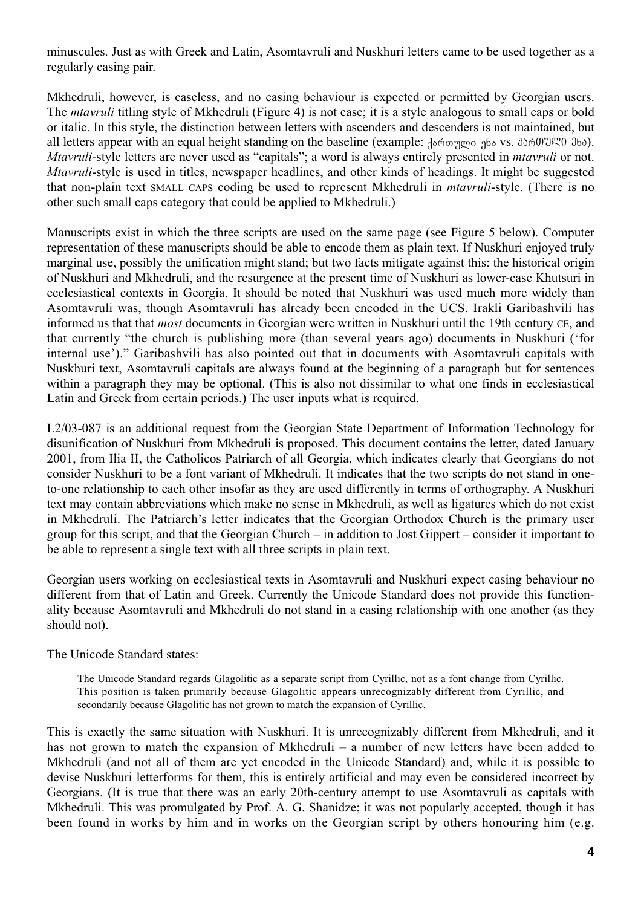minuscules. Just as with Greek and Latin, Asomtavruli and Nuskhuri letters came to be used together as a regularly casing pair.

Mkhedruli, however, is caseless, and no casing behaviour is expected or permitted by Georgian users. The *mtavruli* titling style of Mkhedruli (Figure 4) is not case; it is a style analogous to small caps or bold or italic. In this style, the distinction between letters with ascenders and descenders is not maintained, but all letters appear with an equal height standing on the baseline (example: Jართული ენა vs. მბრ01°3° 00 365). *Mtavruli*-style letters are never used as "capitals"; a word is always entirely presented in *mtavruli* or not. *Mtavruli*-style is used in titles, newspaper headlines, and other kinds of headings. It might be suggested that non-plain text SMALL CAPS coding be used to represent Mkhedruli in *mtavruli*-style. (There is no other such small caps category that could be applied to Mkhedruli.)

Manuscripts exist in which the three scripts are used on the same page (see Figure 5 below). Computer representation of these manuscripts should be able to encode them as plain text. If Nuskhuri enjoyed truly marginal use, possibly the unification might stand; but two facts mitigate against this: the historical origin of Nuskhuri and Mkhedruli, and the resurgence at the present time of Nuskhuri as lower-case Khutsuri in ecclesiastical contexts in Georgia. It should be noted that Nuskhuri was used much more widely than Asomtavruli was, though Asomtavruli has already been encoded in the UCS. Irakli Garibashvili has informed us that that *most* documents in Georgian were written in Nuskhuri until the 19th century CE, and that currently "the church is publishing more (than several years ago) documents in Nuskhuri ('for internal use')." Garibashvili has also pointed out that in documents with Asomtavruli capitals with Nuskhuri text, Asomtavruli capitals are always found at the beginning of a paragraph but for sentences within a paragraph they may be optional. (This is also not dissimilar to what one finds in ecclesiastical Latin and Greek from certain periods.) The user inputs what is required.

L2/03-087 is an additional request from the Georgian State Department of Information Technology for disunification of Nuskhuri from Mkhedruli is proposed. This document contains the letter, dated January 2001, from Ilia II, the Catholicos Patriarch of all Georgia, which indicates clearly that Georgians do not consider Nuskhuri to be a font variant of Mkhedruli. It indicates that the two scripts do not stand in oneto-one relationship to each other insofar as they are used differently in terms of orthography. A Nuskhuri text may contain abbreviations which make no sense in Mkhedruli, as well as ligatures which do not exist in Mkhedruli. The Patriarch's letter indicates that the Georgian Orthodox Church is the primary user group for this script, and that the Georgian Church – in addition to Jost Gippert – consider it important to be able to represent a single text with all three scripts in plain text.

Georgian users working on ecclesiastical texts in Asomtavruli and Nuskhuri expect casing behaviour no different from that of Latin and Greek. Currently the Unicode Standard does not provide this functionality because Asomtavruli and Mkhedruli do not stand in a casing relationship with one another (as they should not).

The Unicode Standard states:

The Unicode Standard regards Glagolitic as a separate script from Cyrillic, not as a font change from Cyrillic. This position is taken primarily because Glagolitic appears unrecognizably different from Cyrillic, and secondarily because Glagolitic has not grown to match the expansion of Cyrillic.

This is exactly the same situation with Nuskhuri. It is unrecognizably different from Mkhedruli, and it has not grown to match the expansion of Mkhedruli – a number of new letters have been added to Mkhedruli (and not all of them are yet encoded in the Unicode Standard) and, while it is possible to devise Nuskhuri letterforms for them, this is entirely artificial and may even be considered incorrect by Georgians. (It is true that there was an early 20th-century attempt to use Asomtavruli as capitals with Mkhedruli. This was promulgated by Prof. A. G. Shanidze; it was not popularly accepted, though it has been found in works by him and in works on the Georgian script by others honouring him (e.g.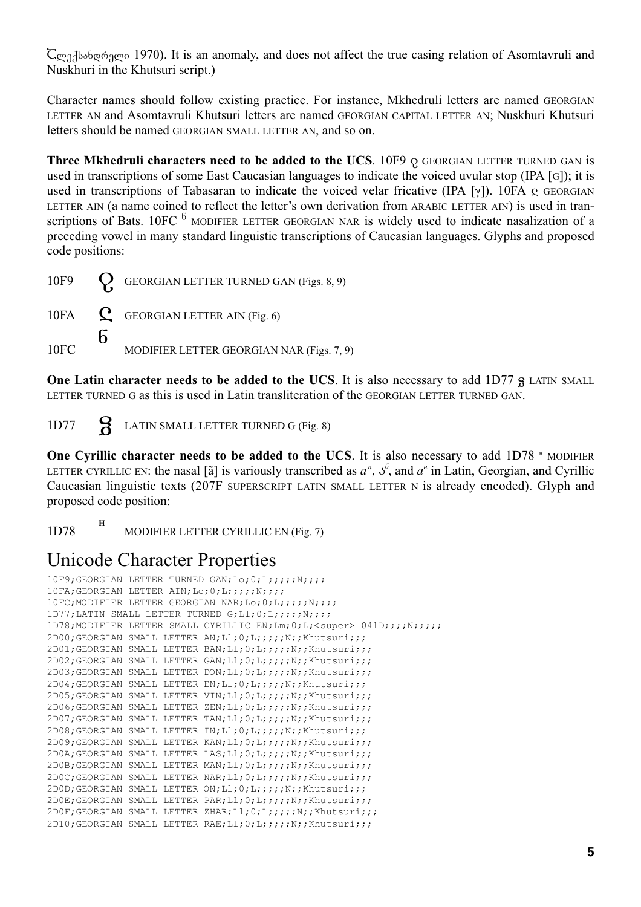$\mathsf{C}_{\mathfrak{Q},\mathfrak{Z}}$ ქსანდრელი 1970). It is an anomaly, and does not affect the true casing relation of Asomtavruli and Nuskhuri in the Khutsuri script.)

Character names should follow existing practice. For instance, Mkhedruli letters are named GEORGIAN LETTER AN and Asomtavruli Khutsuri letters are named GEORGIAN CAPITAL LETTER AN; Nuskhuri Khutsuri letters should be named GEORGIAN SMALL LETTER AN, and so on.

**Three Mkhedruli characters need to be added to the UCS.** 10F9  $Q$  GEORGIAN LETTER TURNED GAN is used in transcriptions of some East Caucasian languages to indicate the voiced uvular stop (IPA [G]); it is used in transcriptions of Tabasaran to indicate the voiced velar fricative (IPA [γ]). 10FA  $\alpha$  GEORGIAN LETTER AIN (a name coined to reflect the letter's own derivation from ARABIC LETTER AIN) is used in transcriptions of Bats. 10FC  $<sup>6</sup>$  MODIFIER LETTER GEORGIAN NAR is widely used to indicate nasalization of a</sup> preceding vowel in many standard linguistic transcriptions of Caucasian languages. Glyphs and proposed code positions:

|      | 10F9 Q GEORGIAN LETTER TURNED GAN (Figs. 8, 9) |
|------|------------------------------------------------|
|      | 10FA $\bf{C}$ GEORGIAN LETTER AIN (Fig. 6)     |
| 10FC | MODIFIER LETTER GEORGIAN NAR (Figs. 7, 9)      |

**One Latin character needs to be added to the UCS**. It is also necessary to add 1D77 g LATIN SMALL LETTER TURNED G as this is used in Latin transliteration of the GEORGIAN LETTER TURNED GAN.

1D77 **Q** LATIN SMALL LETTER TURNED G (Fig. 8)

**One Cyrillic character needs to be added to the UCS**. It is also necessary to add 1D78 <sup>H</sup> MODIFIER LETTER CYRILLIC EN: the nasal [ $\tilde{a}$ ] is variously transcribed as  $a^n$ ,  $\delta^6$ , and  $a^n$  in Latin, Georgian, and Cyrillic Caucasian linguistic texts (207F SUPERSCRIPT LATIN SMALL LETTER N is already encoded). Glyph and proposed code position:

1D78 н MODIFIER LETTER CYRILLIC EN (Fig. 7)

# Unicode Character Properties

```
10F9; GEORGIAN LETTER TURNED GAN; Lo; 0; L;;;;;;N;;;;
10FA; GEORGIAN LETTER AIN; Lo; 0; L;;;;;;N;;;;
10FC;MODIFIER LETTER GEORGIAN NAR; Lo; 0; L;;;;;; N;;;;
1D77;LATIN SMALL LETTER TURNED G;Ll;0;L;;;;;N;;;;
1D78; MODIFIER LETTER SMALL CYRILLIC EN; Lm; 0; L;< super> 041D;;;;N;;;;;
2D00; GEORGIAN SMALL LETTER AN; Ll; 0; L;;;;;N;;Khutsuri;;;
2D01; GEORGIAN SMALL LETTER BAN; Ll;0; L;;;;;N;;Khutsuri;;;
2D02; GEORGIAN SMALL LETTER GAN; Ll;0; L;;;;;N;;Khutsuri;;;
2D03;GEORGIAN SMALL LETTER DON; Ll;0; L;;;;;N;;Khutsuri;;;
2D04; GEORGIAN SMALL LETTER EN; Ll; 0; L;;;;;N;;Khutsuri;;;
2D05;GEORGIAN SMALL LETTER VIN;Ll;0;L;;;;;N;;Khutsuri;;;
2D06; GEORGIAN SMALL LETTER ZEN; Ll;0; L;;;; N;; Khutsuri;;;
2D07; GEORGIAN SMALL LETTER TAN; Ll; 0; L;;;;;N;; Khutsuri;;;
2D08; GEORGIAN SMALL LETTER IN; Ll; 0; L;;;;;N;; Khutsuri;;;
2D09; GEORGIAN SMALL LETTER KAN; Ll;0; L;;;;;N;;Khutsuri;;;
2D0A; GEORGIAN SMALL LETTER LAS; Ll;0; L;;;;;N;;Khutsuri;;;
2D0B;GEORGIAN SMALL LETTER MAN;Ll;0;L;;;;;N;;Khutsuri;;;
2DOC;GEORGIAN SMALL LETTER NAR; Ll; 0; L;;;;; N;;Khutsuri;;;
2D0D;GEORGIAN SMALL LETTER ON;Ll;0;L;;;;;N;;Khutsuri;;;
2D0E; GEORGIAN SMALL LETTER PAR; Ll;0; L;;;;;N;;Khutsuri;;;
2D0F;GEORGIAN SMALL LETTER ZHAR;Ll;0;L;;;;;N;;Khutsuri;;;
2D10;GEORGIAN SMALL LETTER RAE;Ll;0;L;;;;;N;;Khutsuri;;;
```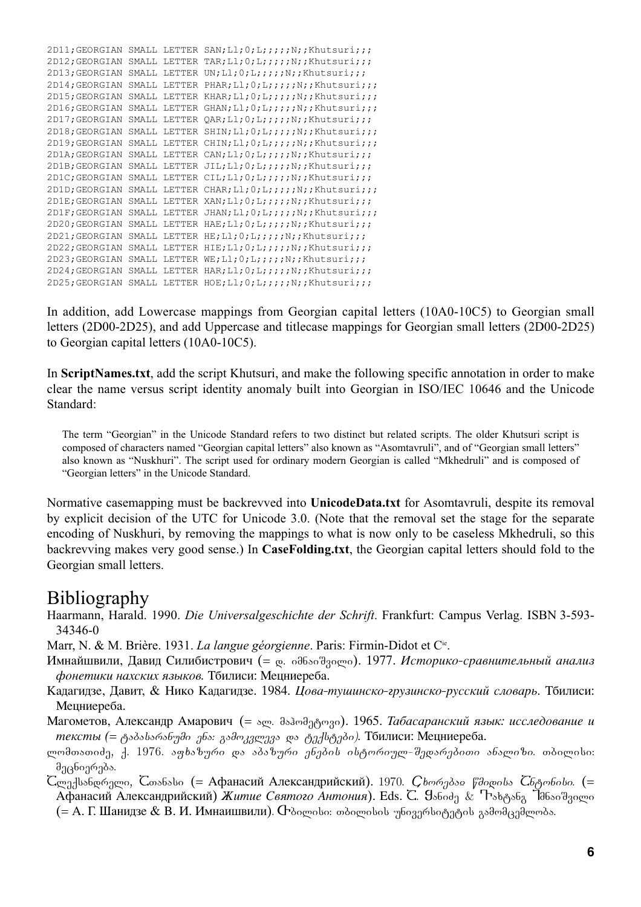| 2D11; GEORGIAN |       |        | SMALL LETTER SAN; L1; $0;L$ ; ;;;;; N;; Khutsuri;;;                         |
|----------------|-------|--------|-----------------------------------------------------------------------------|
| 2D12; GEORGIAN |       |        | SMALL LETTER TAR; L1; $0;L$ ; ;;;;;,N;; Khutsuri;;;                         |
| 2D13; GEORGIAN |       |        | SMALL LETTER UN; Ll; $0;L$ ; $;$ ; $;$ N; ; Khutsuri;;;                     |
| 2D14; GEORGIAN |       |        | SMALL LETTER PHAR; L1; $0;L$ ; ;;;;;, N;; Khutsuri;;;                       |
| 2D15; GEORGIAN |       |        | SMALL LETTER KHAR; Ll; 0; L; ;;;; N; ; Khutsuri;;;                          |
| 2D16; GEORGIAN | SMALL |        | LETTER GHAN; L1; 0; L; ; ; ; ; N; ; Khutsuri; ; ;                           |
| 2D17; GEORGIAN |       |        | SMALL LETTER $QAR; L1; 0; L7; 7; R7; Khutsuri; 7; F3$                       |
| 2D18; GEORGIAN |       |        | SMALL LETTER SHIN; Ll; 0; L; ;;;; N; ; Khutsuri;;;                          |
| 2D19; GEORGIAN |       |        | SMALL LETTER CHIN; L1; $0;L$ ; ;;;;; N;; Khutsuri;;;                        |
| 2D1A; GEORGIAN |       |        | SMALL LETTER CAN; L1; $0;L$ ; ;;;;; N;; Khutsuri;;;                         |
| 2D1B; GEORGIAN |       |        | SMALL LETTER JIL; L1; $0;L$ ; ;;;;; N;; Khutsuri;;;                         |
| 2D1C; GEORGIAN |       |        | SMALL LETTER CIL; L1; $0;L$ ; ;;;;;N;; Khutsuri;;;                          |
| 2D1D; GEORGIAN |       |        | SMALL LETTER CHAR; $L1; 0; L2; j; j; N; K$ hutsuri;;;                       |
| 2D1E; GEORGIAN |       |        | SMALL LETTER XAN; Ll; $0;L$ ; $\cdot$ ; $\cdot$ ; $N$ ; $\cdot$ Khutsuri;;; |
| 2D1F; GEORGIAN |       |        | SMALL LETTER JHAN; $L1; 0; L1; j; j; N; K$ hutsuri;;;                       |
| 2D20; GEORGIAN |       |        | SMALL LETTER HAE; Ll; 0; L; ;;;; N; ; Khutsuri;;;                           |
| 2D21; GEORGIAN |       |        | SMALL LETTER $HE; L1; 0; L7; j7; N7; Khutsuri; j7$                          |
| 2D22; GEORGIAN | SMALL |        | LETTER HIE; Ll; $0$ ; L; ;;;;; N;; Khutsuri;;;                              |
| 2D23; GEORGIAN | SMALL | LETTER | $WE; L1; 0; L;$ ;;;;;N;;Khutsuri;;;                                         |
| 2D24; GEORGIAN | SMALL |        | LETTER HAR; $L1$ ; 0; $L$ ; ;;;; N;; Khutsuri;;;                            |
| 2D25; GEORGIAN |       |        | SMALL LETTER HOE; L1; $0;L$ ; ;;;;;,N;; Khutsuri;;;                         |

In addition, add Lowercase mappings from Georgian capital letters (10A0-10C5) to Georgian small letters (2D00-2D25), and add Uppercase and titlecase mappings for Georgian small letters (2D00-2D25) to Georgian capital letters (10A0-10C5).

In **ScriptNames.txt**, add the script Khutsuri, and make the following specific annotation in order to make clear the name versus script identity anomaly built into Georgian in ISO/IEC 10646 and the Unicode Standard:

The term "Georgian" in the Unicode Standard refers to two distinct but related scripts. The older Khutsuri script is composed of characters named "Georgian capital letters" also known as "Asomtavruli", and of "Georgian small letters" also known as "Nuskhuri". The script used for ordinary modern Georgian is called "Mkhedruli" and is composed of "Georgian letters" in the Unicode Standard.

Normative casemapping must be backrevved into **UnicodeData.txt** for Asomtavruli, despite its removal by explicit decision of the UTC for Unicode 3.0. (Note that the removal set the stage for the separate encoding of Nuskhuri, by removing the mappings to what is now only to be caseless Mkhedruli, so this backrevving makes very good sense.) In **CaseFolding.txt**, the Georgian capital letters should fold to the Georgian small letters.

## Bibliography

- Haarmann, Harald. 1990. *Die Universalgeschichte der Schrift*. Frankfurt: Campus Verlag. ISBN 3-593- 34346-0
- Marr, N. & M. Brière. 1931. *La langue géorgienne*. Paris: Firmin-Didot et Cie.
- Имнайшвили, Давид Силибистрович (= <sub>დ.</sub> იმნაიშვილი). 1977. *Историко-сравнительный анализ*  $\phi$ онетики нахских языков. Тбилиси: Мецниереба.
- Кадагидзе, Давит, & Нико Кадагидзе. 1984. *Цова-тушинско-грузинско-русский словарь*. Тбилиси: Мецниереба.
- Магометов, Александр Амарович (= ალ. მაჰომ<sub>ე</sub>ტოვი). 1965. *Табасаранский язык: исследование и* meксты (= ტაბასარანუმი ენა: გამოკვლევა და ტექსტები). Тбилиси: Мецниереба.
- ლომთათიძე, ქ. 1976. *აფხაზური და აბაზური ენების ისტორიულ-შედარებითი ანალიზი*. თბილისი: მეცნიერება. .
- $\mathsf{C}$ ლექსანდრელი,  $\mathsf{C}$ თანასი (= Афанасий Александрийский). 1970.  $\mathcal{C}$ ხორებაჲ წმიდისა  $\mathcal{C}$ ნტონისი. (= Афанасий Александрийский) *Житие Святого Антония*). Eds. C. Уэбод<sub>д</sub> & ጉэв<sub>ტ</sub>эб<sub>д</sub> ിдбэо<sup>ч</sup>досто (= А. Г. Шанидзе & В. И. Имнаишвили).  $\Phi$ ბილისი: თბილისის უნივერსიტეტის გამომცემლობა .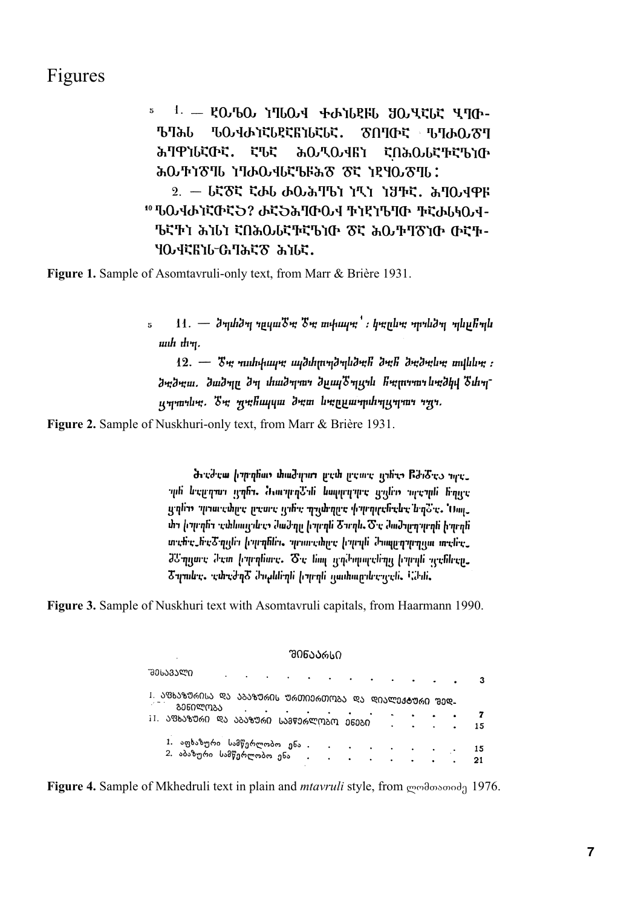## Figures

 $1. -$  20.60 1760.4 +b16256 30.4565 470.  $\mathbf{5}$ **ЪЧЪЬ ԾՈΊ**ΦԷ Մ]ԽΟ.Ծ1 ჀႭჃႰႨႠႱႲႠႬႨႱႠႱႠ. ሕባዋነሁኛውኛ. **ζ'bc ሕ** ሚው ብደታ **ԷՈሕ**ႭႱԷႥԷႪነው ሕውቸነԾ11 ነባሖውላሁኛኄዙሕԾ Ծኛ ነደሃውԾ11. 2. - ៤ኛਠኛ ኛውሁ ውዑሕባਾን ነሚነ ነህተኛ. ሕባዑላዋዞ **"" ჀႭჃႰႨႠႧႠჂ? ႰႠჂሕႤႧႭჃ ႥነዊነჀႤႧ ႥႠႰႱႩႭჃ-**'Եናኾነ ሕነሪነ ናበሕዉሪኛኍኛቴነው Ծኛ ሕዉዅገԾነው ውኛႥ-ሃውዛኛዜነሁ ዑባሕኛԾ ሕነሁኛ.

**Figure 1.** Sample of Asomtavruli-only text, from Marr & Brière 1931.

 $11. - 3$ ηιhdη ημιμι $3\pi$   $3\pi$  mιիιιιηή: hepling ηρημίδη ημιμήημ  $\mathbf{5}$ шти т.

 $12. -$  S<sub>\*\*</sub> muhthuy\* mydthmmdmud\*H d\*H d\*d\*lu\* mylulu\* : ծ անդան անուլ ծա հանորու ծրար առում հայուսում անկած ա ummulim. Tm mmhuyuu dmm limpummulimummum

**Figure 2.** Sample of Nuskhuri-only text, from Marr & Brière 1931.

dredrem formulion thad gram preth presere univer Bdidres merպե և զրդար դրճը, ժշտպարեն հաղորդար զանո արգան ճարգ պղնու պատգանը նատականության կանությունը կանում է մար միլ իրբրել անհայրնաց ժաժգոր իրբրե Շուգն. Ծանաժորդորդն իրբրե տանայնած որի իրանի որտանում իրարի ժաղորդում տանայ JC դրաս։ Դստ իպորնաս, Ծու նա<sub>ր հ</sub>արժարարվերը իպորն պանհար, Շղահո, որեղժղՇ ժողհնարն իրարն դայհարդերությն, նժյն,

**Figure 3.** Sample of Nuskhuri text with Asomtavruli capitals, from Haarmann 1990.

| <b>ᲨᲘᲜᲐᲐᲠᲡᲘ</b>                                                                |  |  |  |  |  |                        |       |                        |           |           |   |  |          |
|--------------------------------------------------------------------------------|--|--|--|--|--|------------------------|-------|------------------------|-----------|-----------|---|--|----------|
| ᲣᲔᲡᲐᲕᲐᲚᲘ                                                                       |  |  |  |  |  | $\bullet$              |       | $\bullet$              | ٠         |           |   |  | 3        |
| <sup>1. ᲐᲤᲮᲐᲖᲣᲠᲘᲡᲐ ᲓᲐ ᲐᲑᲐᲖᲣᲠᲘᲡ ᲣᲠᲗᲘᲔᲠᲗᲝᲑᲐ ᲓᲐ ᲓᲘᲐᲚᲔᲥᲢᲣᲠᲘ ᲨᲔᲓ-</sup><br>ᲒᲔᲜᲘᲚᲝᲑᲐ |  |  |  |  |  |                        |       |                        |           |           |   |  |          |
| ᲐᲤᲮᲐᲖᲣᲠᲘ ᲓᲐ ᲐᲑᲐᲖᲣᲠᲘ ᲡᲐᲛᲬᲔᲠᲚᲝᲑᲝ                                                 |  |  |  |  |  |                        | ᲔᲜᲔᲑᲘ |                        |           |           |   |  | 7<br>15  |
| 1. აფხაზური სამწერლობო ენა .<br>2. აბაზური სამწერლობო ენა                      |  |  |  |  |  | $\bullet$<br>$\bullet$ |       | $\bullet$<br>$\bullet$ | $\bullet$ | $\bullet$ | ٠ |  | 15<br>21 |

**Figure 4.** Sample of Mkhedruli text in plain and *mtavruli* style, from <sub>mendor</sub> ond 1976.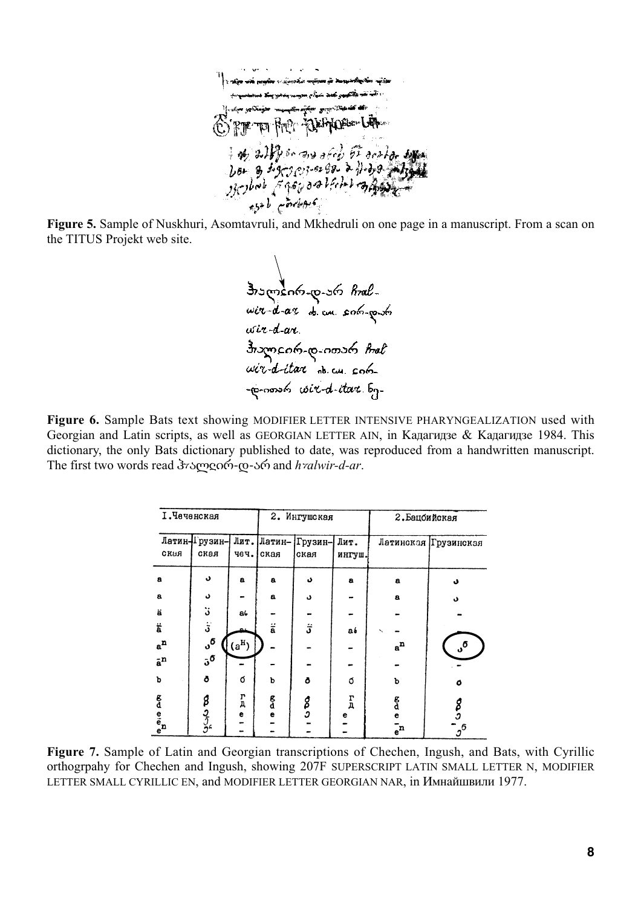.<br>The series comes a System and applies with the Yantar yeRhugur ama<del>ndin alfan</del> yaya Rus<del>ul (K</del>r E PT TO FOR DEFINITION فبهزائهم لأدبيه

**Figure 5.** Sample of Nuskhuri, Asomtavruli, and Mkhedruli on one page in a manuscript. From a scan on the TITUS Projekt web site.

Framants-10-260 Aral-<br>Wit-d-at d.cn. solo-10-60<br>wit-d-at usin-d-ane.<br>Insomento-co-nosso Anal<br>wir-d-itan ab.cu. coloprocessors wird-itare.

**Figure 6.** Sample Bats text showing MODIFIER LETTER INTENSIVE PHARYNGEALIZATION used with Georgian and Latin scripts, as well as GEORGIAN LETTER AIN, in Кадагидзе & Кадагидзе 1984. This dictionary, the only Bats dictionary published to date, was reproduced from a handwritten manuscript. The first two words read  $\frac{3}{2}$ γ<sub>Σ</sub> (σ - 5<sup>6</sup>) and *h* $\frac{3}{2}$ *ar*.

|                        | <b>І.Чеченская</b>  |                           |                      | 2. Ингушская |              | 2. Бацоийская |                           |  |  |
|------------------------|---------------------|---------------------------|----------------------|--------------|--------------|---------------|---------------------------|--|--|
|                        | Латин-Прузин-       | Лит.                      | Латин-               | Грузин-      | Лит.         |               | Латинская Грузинская      |  |  |
| скыя                   | ская                | чеч.                      | ская                 | ская         | ингуш.       |               |                           |  |  |
| a                      | د                   | $\mathbf{a}$              | a                    | د            | a            | a             | د                         |  |  |
| $\mathbf{a}$           | د                   |                           | $\mathbf{a}$         | د            |              | $\mathbf a$   | د                         |  |  |
| ä                      | :ن                  | a.                        |                      |              |              |               |                           |  |  |
| ä                      | $\mathbf{\dot{5}}$  |                           | $\ddot{\bar{\rm a}}$ | ڗ            | a b          |               |                           |  |  |
| $a^n$                  | ა <sup>ნ</sup>      | $(a^H)$                   |                      |              |              | $a^n$         | $\mathbf{v}^{\mathbf{0}}$ |  |  |
| $\bar{a}^n$            | $5^{\sigma}$        |                           |                      |              |              |               |                           |  |  |
| p                      | ō                   | Q                         | b                    | Ō            | Ő            | b             | ٥                         |  |  |
|                        |                     | $\mathbf{r}_{\mathbf{n}}$ | g                    |              | $\mathbf{r}$ | g<br>d        |                           |  |  |
|                        |                     | e                         | e                    | g<br>S       | е            | e             | <b>S</b>                  |  |  |
| e <sup>n</sup><br>Gene | 8<br>پروگر<br>پروگر |                           |                      |              |              | $\bar{e}^n$   | ${\mathfrak z}^6$         |  |  |

**Figure 7.** Sample of Latin and Georgian transcriptions of Chechen, Ingush, and Bats, with Cyrillic orthogrpahy for Chechen and Ingush, showing 207F SUPERSCRIPT LATIN SMALL LETTER N, MODIFIER LETTER SMALL CYRILLIC EN, and MODIFIER LETTER GEORGIAN NAR, in Имнайшвили 1977.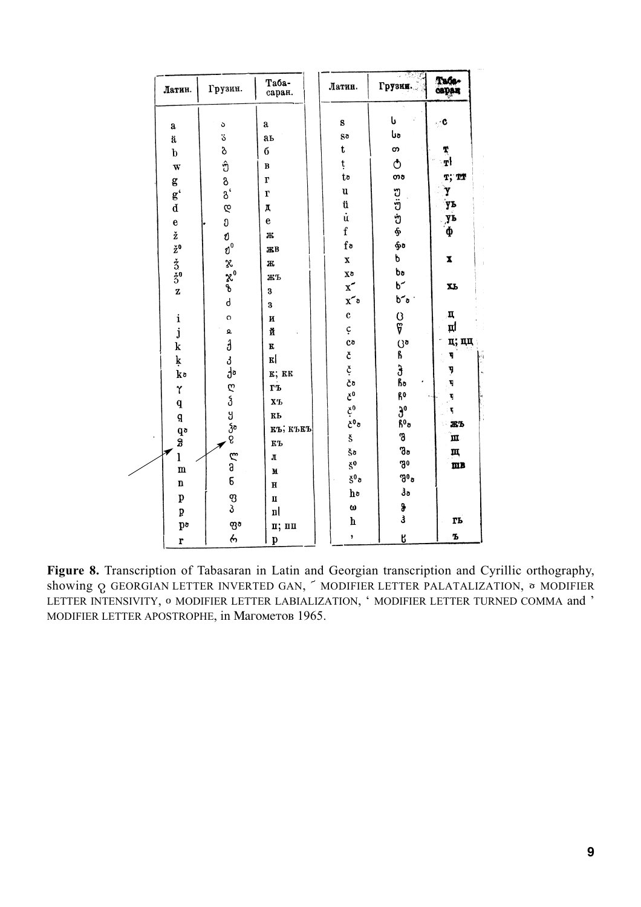| Латин.                                                                                           | Грузин.            | Таба-<br>саран.           | Латин.                                  | Грузин.                                  | Tage-<br>сарац       |
|--------------------------------------------------------------------------------------------------|--------------------|---------------------------|-----------------------------------------|------------------------------------------|----------------------|
|                                                                                                  |                    |                           | $\mathbf s$                             | ს                                        | $\mathbf{C}$         |
| $\bf a$                                                                                          | $\circ$            | $\bf a$                   | go                                      | <b>U</b>                                 |                      |
| ä                                                                                                | ö<br>ბ             | aь<br>б                   | $\mathbf t$                             | თ                                        |                      |
| $\mathbf b$                                                                                      |                    |                           | ţ                                       | ტ                                        | $\frac{1}{T}$        |
| $\overline{\mathbf{w}}$                                                                          | 60000              | $\, {\bf B}$              | to                                      | თბ                                       | T; TT                |
| $g$<br>$g'$<br>$d$                                                                               |                    | $\mathbf{r}$              |                                         |                                          |                      |
|                                                                                                  |                    | $\mathbf{r}$              | $\mathbf u$                             | မှ ငါးသေ                                 | Y<br>уь              |
|                                                                                                  |                    | Д                         | ü<br>ü<br>f                             |                                          |                      |
|                                                                                                  | $\mathfrak{v}$     | $\mathbf{e}$              |                                         |                                          | yь                   |
|                                                                                                  |                    | Ж                         |                                         |                                          | ф                    |
|                                                                                                  |                    | ЖB                        | $f\circ$                                | ho.                                      |                      |
|                                                                                                  |                    | Ж                         | $\mathbf{x}$                            | p                                        | $\mathbf x$          |
| $e$ $\check{z}$ $\check{z}$ <sup>0</sup><br>$\check{z}$ <sup>0</sup><br>$\check{z}$ <sup>0</sup> | ರಿ ಜಿ ಜೈ           | ЖЪ                        | χð                                      | bo<br>b <sup>-</sup><br>b <sup>-</sup> o |                      |
| $\mathbf{z}$                                                                                     |                    | 3                         | $\mathbf{x}^{\prime}$                   |                                          | XЬ                   |
|                                                                                                  | $\mathsf{d}$       | $\bf{3}$                  | $x^{\sim}$                              |                                          |                      |
| $\mathbf{i}$                                                                                     | $\circ$            | $\boldsymbol{\mathrm{M}}$ | $\mathbf{c}$                            | ပ္ပ<br>၆                                 | Д                    |
| $\mathbf{j}$                                                                                     | $\pmb{\mathsf{a}}$ | й                         | ç                                       |                                          | цI                   |
| $\mathbf k$                                                                                      | Ĵ                  | K                         | Co                                      | ូត<br>ស                                  | ц; цц                |
| ķ                                                                                                | J                  | $\mathbf{K} $             |                                         |                                          | q                    |
| ko                                                                                               | $\mathbf{a}$       | к; кк                     | と<br>さ<br>さぁ                            | ჭ<br>ჩა<br>ჩ <sup>0</sup>                | y<br>q               |
| Y                                                                                                |                    | гъ                        |                                         |                                          |                      |
|                                                                                                  |                    | $\mathbf{X}^T$            |                                         |                                          | 4                    |
| $\mathbf{q}$                                                                                     |                    | KЬ                        |                                         |                                          | $\tilde{\mathbf{r}}$ |
| q                                                                                                |                    | къ; къкъ                  | こ<br><sub>ど</sub> 0<br>ど <sup>0</sup> で | $\frac{\partial^0}{\partial \rho^0}$     | ЖЪ                   |
| a<br>d<br>ï                                                                                      | es as as as        | $\mathbf{K}$ Ъ            | š                                       | შ                                        | m                    |
|                                                                                                  |                    |                           | Šō                                      | go                                       | щ                    |
| $\mathbf{l}$<br>$\mathbf m$                                                                      |                    | ${\bf J}$                 | $\zeta^0$                               | ში                                       | mB                   |
| $\mathbf n$                                                                                      | e م<br>و           | $\mathbf M$               | $\S^0$ a                                | $\mathfrak{g}_0$                         |                      |
|                                                                                                  |                    | $\mathbf H$               | h٥                                      | $\mathfrak{z}_\mathfrak{o}$              |                      |
| $\mathbf{p}$                                                                                     | ფ<br>პ             | $\mathbf u$               | $\boldsymbol{\omega}$                   |                                          |                      |
| þ                                                                                                |                    | $\mathbf{n}$              | $\mathbf h$                             | g<br>3                                   | rь                   |
| $\mathbf{p}$                                                                                     | ფծ                 | п; пп                     | $\pmb{\mathfrak{z}}$                    |                                          | Ъ                    |
| $\mathbf{r}$                                                                                     | 6                  | $\mathbf{p}$              |                                         | Ŗ                                        |                      |

**Figure 8.** Transcription of Tabasaran in Latin and Georgian transcription and Cyrillic orthography, showing  $\Omega$  GEORGIAN LETTER INVERTED GAN,  $\tilde{\phantom{a}}$  MODIFIER LETTER PALATALIZATION,  $\,$  mODIFIER LETTER INTENSIVITY, © MODIFIER LETTER LABIALIZATION, ' MODIFIER LETTER TURNED COMMA and ' MODIFIER LETTER APOSTROPHE, in Maromerob 1965.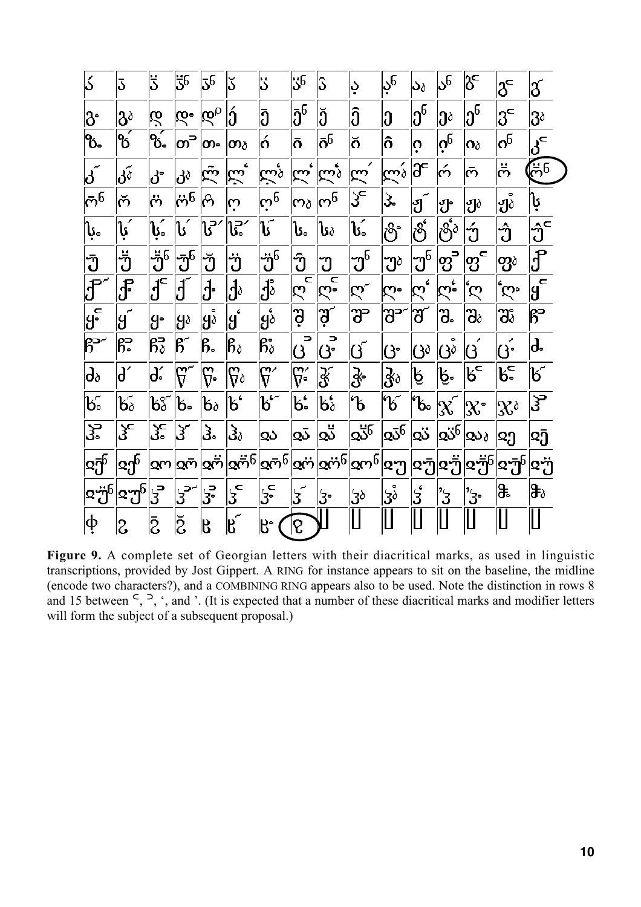| ک                                                                    | 3                                     | 5                              | 56                                            | ჳნ                     | ݣ                                      | ذا                                    | $\mathbb{S}^5$                             | S)                                                 | ڊ                            | 6ڔ                                   | აა                                   | ან                                        | გქ                                                          | $\delta^{\mathsf{c}}$       | $\delta^{'}$                                    |
|----------------------------------------------------------------------|---------------------------------------|--------------------------------|-----------------------------------------------|------------------------|----------------------------------------|---------------------------------------|--------------------------------------------|----------------------------------------------------|------------------------------|--------------------------------------|--------------------------------------|-------------------------------------------|-------------------------------------------------------------|-----------------------------|-------------------------------------------------|
| ჭ                                                                    | $3^\delta$                            | ღ                              | დ∘                                            | $\overline{\omega}_0$  | Íó                                     | ้วิ                                   | $ \bar{3}^5$                               | Ĭŏ                                                 | Î                            | ე                                    | $3^6$                                | ეა                                        | $\boldsymbol{\mathfrak{d}}^{6}$                             | $3^{\circ}$                 | 3 <sup>δ</sup>                                  |
| ზ.                                                                   | $\overrightarrow{6}$                  | $\overline{\mathbf{q}_{6}^2}$  | $\overline{\mathbf{O}}^{\mathbf{D}}$          | ∣တ-                    | က $_\delta$                            | ó                                     | ้ดิ                                        | $ \bar{\mathbf{o}}^{\mathbf{6}}$                   | ŏ                            | ô                                    | ļò                                   | $ \dot{\mathrm{o}}_{\mathrm{e}} $         | $\mathsf{\Omega} \delta$                                    | $\sigma^6$                  | $\overline{\beta}_c$                            |
| $\vec{d}$                                                            | კ $\tilde{\delta}$                    | კ.                             | კა                                            | $\tilde{\mathfrak{S}}$ | ن<br>س                                 | $\tilde{\omega}_3$                    | $\overline{\mathcal{R}}^{\prime}$          | $\widetilde{\omega}$                               | $\widetilde{\mathcal{K}}$    | $\overline{\mathbb{C}}$              | ∣Ƙ                                   | ó                                         | ൹                                                           | ິຕັ                         | $\tilde{\vec{C}}$                               |
| $\bar{\mathfrak{G}}^5$                                               | რ                                     | ö                              | $\ddot{\mathrm{e}}$ ნ                         | ക                      | က္                                     | $\dot{\omega}_\mathrm{e}$             | ന $_\delta$                                | $\omega_{\rm e}$                                   | ξ                            | ડે                                   | $\mathfrak{g}$ ်                     | ၅.                                        | Jò                                                          | ۰<br>ჟծ                     | ្រុ                                             |
| ķ.                                                                   | ្រុ                                   | ِيَنَ                          | ิโร่                                          | \}″                    | ្រុះ                                   | ູ່ໄ                                   | ՝ Մ                                        | Ն≀                                                 | ໄ⊊໌                          | ပြီး                                 | စိ                                   | $ \vec{\mathcal{S}}^{\vec{\mathfrak{e}}}$ | ΰ                                                           | ΰ                           | $\hat{\mathfrak{J}}^{\mathsf{c}}$               |
| ີ່ ປ                                                                 | ັ່ງ                                   | $\ddot{3}^5$                   | უ $\overline{0}^6$                            | ์<br>ปั                | ີ່ ບ້                                  | უ් $^{\rm 5}$                         | ဘ                                          | უ                                                  | 'უ $^5$                      | $\mathfrak{P}^{\delta}$              | $\mathfrak{P}^{\mathfrak{b}}$        | $\overline{\mathfrak{B}}$                 | ၊၅ $\mathbf{g}^{\epsilon}$                                  | ၯၟၧ                         | $\overline{\vartheta}$                          |
| ${\bf \hat{J}}^{\circ}$                                              | ၟၟႝ                                   | $\text{J}^{\text{c}}$          | $ \mathbf{J} $                                | ქ.<br>                 | $\mathrm{d}^{\mathfrak{d}}$            | ၟႝ႞                                   | $\overline{\epsilon}$<br>ღ                 | C<br>రో                                            | $\mathfrak{S}$               | ర్ష్                                 | $\bar{\mathcal{R}}^{\mathbf{\cdot}}$ | $\mathbb{R}^2$                            | Q                                                           | $\zeta$                     | $\mathbf{a}$<br>អូ                              |
| $\overline{\mathfrak{g}^{\mathsf{c}}_{\scriptscriptstyle{\bullet}}}$ | $\bar{g}$                             | g•                             | ¦gò                                           | $ $ ၂ $\delta$         | $\mathfrak{g}^{\mathfrak{c}}$          | gó                                    | ູ່ອຸ                                       | ခြ                                                 | უ-                           | უ-                                   | შ                                    | შ.                                        | $\mathfrak{B}_\delta$                                       | უঃ                          | թ∍                                              |
| թ∽                                                                   | 能                                     | $\mathsf{B}^\mathsf{a}_\delta$ | $\mathsf{B}^{\!\scriptscriptstyle\mathsf{C}}$ | ß.                     | $\beta_\delta$                         | $\beta_\delta^{\circ}$                | $\overline{\phantom{a}}$<br>$\overline{O}$ | $\overline{\overline{\mathbf{G}^{\circ}}}$         | ၒ                            | ŀG                                   | (}∂                                  | ပြဲစံ                                     | ပြ                                                          | ပြ•်                        | ď                                               |
| $\mathsf{d}_\delta$                                                  | ď                                     | ď                              | $\mathfrak{F}^{\texttt{-}}$                   | ᡦ᠌                     | $\mathfrak{g}_\delta$                  | $\mathfrak{g}^\prime$                 | $\mathfrak{F}^{\!\scriptscriptstyle{2}}$   | $\overline{\mathcal{X}}$                           | $\mathbf{\mathcal{S}}$       | $\c3_\delta$                         | ķ                                    | Į.                                        | $\mathfrak{b}^{\mathsf{c}}$                                 | $\mathfrak{b}^{\mathsf{c}}$ | $\mathfrak{b}^{\!\scriptscriptstyle\textrm{-}}$ |
| $\mathfrak{b}$ .                                                     | $\mathfrak{b}_\delta$                 | $\mathcal{B}^{\circ}_{\delta}$ | ե.                                            | $\mathbf{b}_\delta$    | k'                                     | $\mathfrak{b}^{\mathfrak{c}^{\perp}}$ | \ն                                         | $\mathfrak{b}^{\boldsymbol{\mathfrak e}}_{\delta}$ | U                            | '6                                   | "b.                                  | $ \chi\>\$                                | $ \mathfrak{X}^{\circ} $                                    | $\mathcal{R}^{\delta}$      | $\overline{\mathfrak{z}}$                       |
| 3.                                                                   | ჴ⊂                                    | <u>კ−</u>                      | $\mathfrak{z}$                                | კ.                     | $\mathfrak{Z}_\delta$                  | Qδ                                    | دَءِ                                       | $\frac{1}{2}$                                      | 256                          | $\overline{\mathtt{S}^{\mathtt{G}}}$ | $\dot{\infty}$                       | $\infty^5$                                | $\mathsf{Q}\mathsf{Q}$ ბ                                    | $ \mathfrak{Q} $            | သြ                                              |
| $\mathbf{R}^{-1}_{\mathbf{Q}}$                                       | ${}^{\text{I}}\!\mathfrak{A}^{\!\!5}$ | დო                             | $\overline{\infty}$                           | ∞്                     | $\infty$ ෆ් $^6$                       | $\infty$ က် $^5$                      |                                            | $ \mathbf{\alpha}$ က် $ \mathbf{\alpha}$ က် $^5$   | $\mathbf{k}$ ონ $\mathbf{k}$ | ჲუ                                   | ჲუ                                   | ြ¤၅็                                      | $ \mathbf{Q}\frac{\partial}{\partial}\mathbf{Q}\mathbf{0} $ | $\mathbf{R}^{\mathbf{B}}$   | ጃő                                              |
| $\approx$ ၅် $^5$                                                    | $ \mathbf{a}\mathbf{a}_0 $            | ჳ                              | $\overline{3}$                                | ႜၟႜ                    | $\overline{\mathfrak{z}}^{\mathsf{c}}$ | 3 <sup>5</sup>                        | $\vert 5 \vert$                            | ჭ                                                  | 3 <sup>δ</sup>               | $\mathfrak{z}$                       | $\acute{\text{3}}$                   | '3                                        | 'ჯ.                                                         | )‡.                         | ∖ჵծ                                             |
| ф                                                                    | 2                                     | ā                              | $\breve{\text{S}}$                            | ß                      | $\mathbf{B}^{\mathbf{c}}$              | ß.                                    | δ                                          |                                                    | ILI                          |                                      |                                      |                                           |                                                             |                             |                                                 |

**Figure 9.** A complete set of Georgian letters with their diacritical marks, as used in linguistic transcriptions, provided by Jost Gippert. A RING for instance appears to sit on the baseline, the midline (encode two characters?), and a COMBINING RING appears also to be used. Note the distinction in rows 8 and 15 between  $\leq$ ,  $\geq$ ,  $\cdot$ , and  $\cdot$ . (It is expected that a number of these diacritical marks and modifier letters will form the subject of a subsequent proposal.)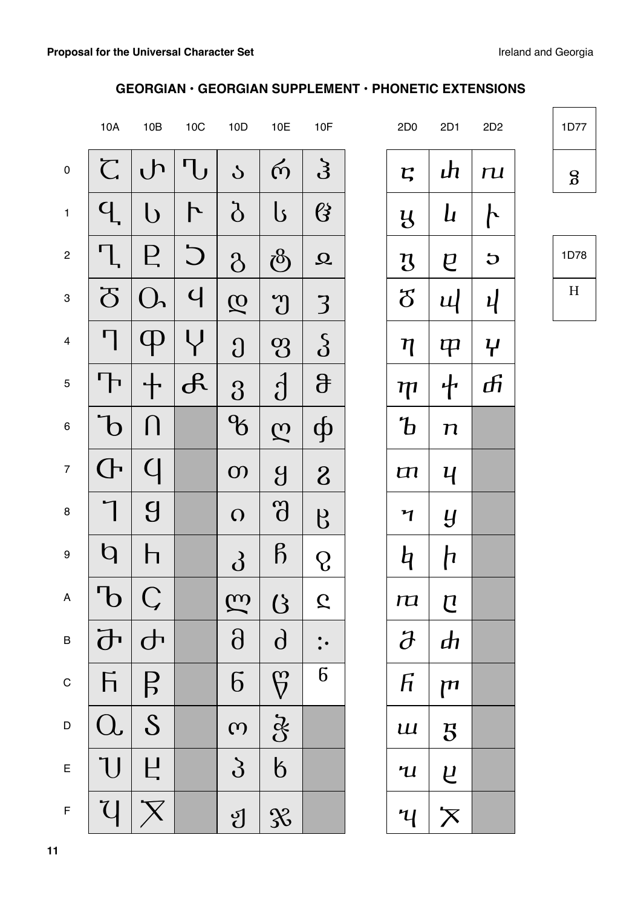### **GEORGIAN • GEORGIAN SUPPLEMENT • PHONETIC EXTENSIONS**

|                           | 10A                     | 10B            | 10C           | 10D                      | 10E                      | 10F              | 2D <sub>0</sub>             | 2D1                       | 2D2           |  |
|---------------------------|-------------------------|----------------|---------------|--------------------------|--------------------------|------------------|-----------------------------|---------------------------|---------------|--|
| $\pmb{0}$                 | $\overline{C}$          | $\mathsf{L}$   | ' l J         | $\mathcal{S}$            | $\omega$                 | $\mathfrak{Z}$   | $\mathbf{r}$                | լի                        | $\mathbf{u}$  |  |
| $\mathbf{1}$              | q                       | $\cup$         | ト             | $\delta$                 | ပြ                       | $\mathcal{B}$    | $\mathfrak{B}$              | $\boldsymbol{\mu}$        | ト             |  |
| $\overline{c}$            |                         | Е              | $\bigcup$     | $\delta$                 | $\delta$                 | $\Omega$         | $\boldsymbol{\mathfrak{B}}$ | $\overline{e}$            | $\bigcup$     |  |
| $\ensuremath{\mathsf{3}}$ | $\overline{\mathrm{O}}$ |                | $\mathsf{C}$  | $\overline{\mathcal{Q}}$ | $\mathcal{D}$            | 3                | $\delta$                    | Щ                         | $\mathcal{U}$ |  |
| $\overline{\mathbf{4}}$   | η                       |                |               | $\Omega$                 | $\mathbf{Q}$             | $\delta$         | η                           | $\boldsymbol{\mathsf{P}}$ | $\mathcal{H}$ |  |
| $\mathbf 5$               | ╹┣                      |                | $\mathcal{A}$ | 3                        | $\overline{\textbf{d}}$  | $\theta$         | ${\boldsymbol \eta}$        | 十                         | சி            |  |
| $\,6\,$                   | $\mathbf b$             |                |               | $\mathcal{C}$            | $\overline{\mathcal{C}}$ | ф                | $\mathbf b$                 | $\boldsymbol{n}$          |               |  |
| $\boldsymbol{7}$          | $\overline{\mathsf{C}}$ | $\bigcup$      |               | $\mathbf{O}$             | $\overline{g}$           | 8                | $\mathbf{m}$                | Ч                         |               |  |
| $\bf 8$                   |                         | $\overline{g}$ |               | $\Omega$                 | $\partial$               | $\beta$          | $\mathbf{v}$                | Y                         |               |  |
| $\boldsymbol{9}$          | $\mathsf{q}$            |                |               | $\delta$                 | $\beta$                  | Q                | q                           | h                         |               |  |
| A                         | $\mathbf U$             |                |               | $\widetilde{\omega}$     | $\mathcal{B}$            | $\mathcal{L}$    | ra                          | $\mathbf U$               |               |  |
| $\sf B$                   | $\overline{\mathbf{d}}$ | $\overline{d}$ |               | $\partial$               | $\mathbf{d}$             |                  | $\partial$                  | $\boldsymbol{d}$          |               |  |
| $\mathsf{C}$              | $F_{1}$                 | $\overline{B}$ |               | $\overline{6}$           | $\overline{\mathcal{G}}$ | $\boldsymbol{6}$ | $\sqrt{h}$                  | $\mathsf{m}$              |               |  |
| $\mathsf D$               | $\Omega$                | S              |               | $\omega$                 | $\mathcal{E}$            |                  | $\mathbf{u}$                | 5                         |               |  |
| $\mathsf E$               | U                       | Ц              |               | $\mathcal{S}_{0}$        | $\overline{6}$           |                  | $\mathcal{U}$               | $\overline{u}$            |               |  |
| $\bar{\mathsf{F}}$        | U                       |                |               | ပျ                       | $\mathcal{X}$            |                  | $\mathcal{H}$               | $\overline{\mathsf{X}}$   |               |  |

1D77 œ

| 1D78 |  |
|------|--|
| H    |  |